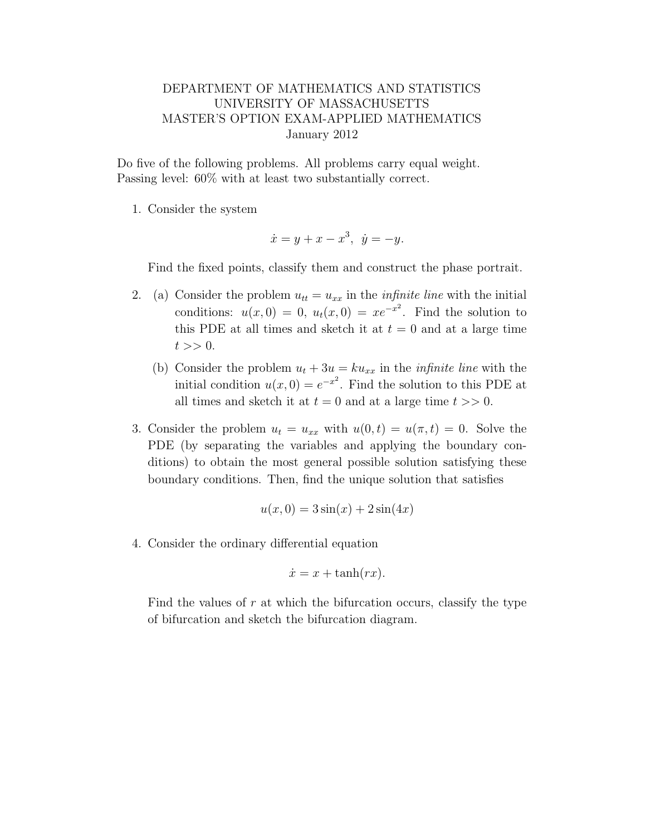## DEPARTMENT OF MATHEMATICS AND STATISTICS UNIVERSITY OF MASSACHUSETTS MASTER'S OPTION EXAM-APPLIED MATHEMATICS January 2012

Do five of the following problems. All problems carry equal weight. Passing level: 60% with at least two substantially correct.

1. Consider the system

$$
\dot{x} = y + x - x^3, \ \dot{y} = -y.
$$

Find the fixed points, classify them and construct the phase portrait.

- 2. (a) Consider the problem  $u_{tt} = u_{xx}$  in the *infinite line* with the initial conditions:  $u(x, 0) = 0$ ,  $u_t(x, 0) = xe^{-x^2}$ . Find the solution to this PDE at all times and sketch it at  $t = 0$  and at a large time  $t >> 0.$ 
	- (b) Consider the problem  $u_t + 3u = ku_{xx}$  in the *infinite line* with the initial condition  $u(x, 0) = e^{-x^2}$ . Find the solution to this PDE at all times and sketch it at  $t = 0$  and at a large time  $t \gg 0$ .
- 3. Consider the problem  $u_t = u_{xx}$  with  $u(0,t) = u(\pi, t) = 0$ . Solve the PDE (by separating the variables and applying the boundary conditions) to obtain the most general possible solution satisfying these boundary conditions. Then, find the unique solution that satisfies

$$
u(x,0) = 3\sin(x) + 2\sin(4x)
$$

4. Consider the ordinary differential equation

$$
\dot{x} = x + \tanh(rx).
$$

Find the values of  $r$  at which the bifurcation occurs, classify the type of bifurcation and sketch the bifurcation diagram.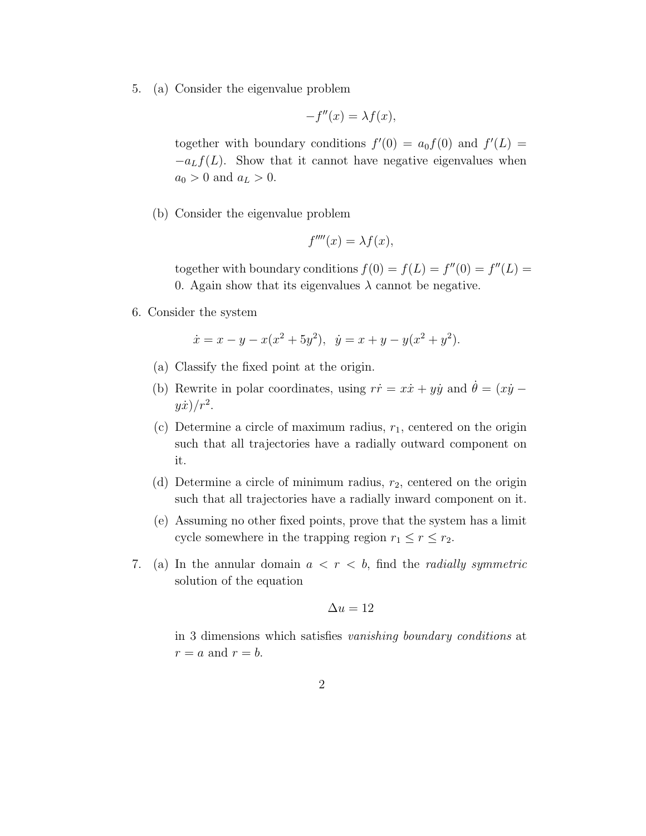5. (a) Consider the eigenvalue problem

$$
-f''(x) = \lambda f(x),
$$

together with boundary conditions  $f'(0) = a_0 f(0)$  and  $f'(L) =$  $-a_Lf(L)$ . Show that it cannot have negative eigenvalues when  $a_0 > 0$  and  $a_L > 0$ .

(b) Consider the eigenvalue problem

$$
f''''(x) = \lambda f(x),
$$

together with boundary conditions  $f(0) = f(L) = f''(0) = f''(L) =$ 0. Again show that its eigenvalues  $\lambda$  cannot be negative.

6. Consider the system

$$
\dot{x} = x - y - x(x^2 + 5y^2), \ \dot{y} = x + y - y(x^2 + y^2).
$$

- (a) Classify the fixed point at the origin.
- (b) Rewrite in polar coordinates, using  $r\dot{r} = x\dot{x} + y\dot{y}$  and  $\dot{\theta} = (x\dot{y}$  $y\dot{x})/r^2$ .
- (c) Determine a circle of maximum radius,  $r_1$ , centered on the origin such that all trajectories have a radially outward component on it.
- (d) Determine a circle of minimum radius,  $r_2$ , centered on the origin such that all trajectories have a radially inward component on it.
- (e) Assuming no other fixed points, prove that the system has a limit cycle somewhere in the trapping region  $r_1 \le r \le r_2$ .
- 7. (a) In the annular domain  $a < r < b$ , find the *radially symmetric* solution of the equation

$$
\Delta u = 12
$$

in 3 dimensions which satisfies vanishing boundary conditions at  $r = a$  and  $r = b$ .